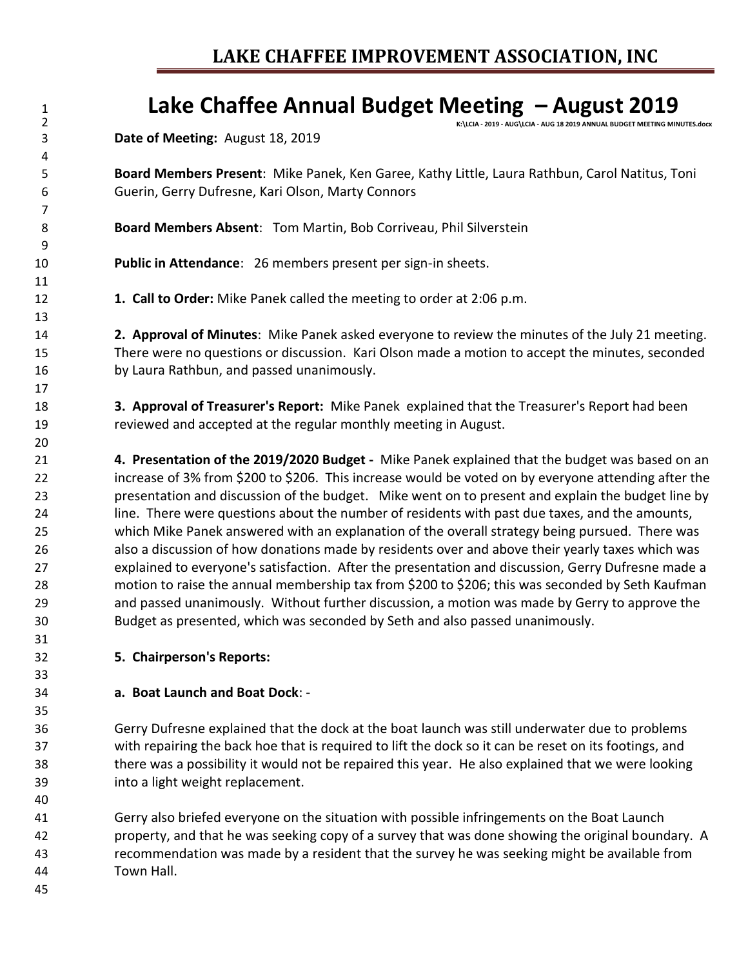## 1<br>2<br>2<br>**Carry Carry 2019 ANNUAL BUDGET MEETING MIN**

**K:\LCIA - 2019 - AUG\LCIA - AUG 18 2019 ANNUAL BUDGET MEETING MINUTES.docx**

**Date of Meeting:** August 18, 2019

 **Board Members Present**: Mike Panek, Ken Garee, Kathy Little, Laura Rathbun, Carol Natitus, Toni Guerin, Gerry Dufresne, Kari Olson, Marty Connors

**Board Members Absent**: Tom Martin, Bob Corriveau, Phil Silverstein

**Public in Attendance**: 26 members present per sign-in sheets.

**1. Call to Order:** Mike Panek called the meeting to order at 2:06 p.m.

 **2. Approval of Minutes**: Mike Panek asked everyone to review the minutes of the July 21 meeting. There were no questions or discussion. Kari Olson made a motion to accept the minutes, seconded by Laura Rathbun, and passed unanimously.

 **3. Approval of Treasurer's Report:** Mike Panek explained that the Treasurer's Report had been reviewed and accepted at the regular monthly meeting in August.

 **4. Presentation of the 2019/2020 Budget -** Mike Panek explained that the budget was based on an increase of 3% from \$200 to \$206. This increase would be voted on by everyone attending after the presentation and discussion of the budget. Mike went on to present and explain the budget line by line. There were questions about the number of residents with past due taxes, and the amounts, which Mike Panek answered with an explanation of the overall strategy being pursued. There was also a discussion of how donations made by residents over and above their yearly taxes which was explained to everyone's satisfaction. After the presentation and discussion, Gerry Dufresne made a motion to raise the annual membership tax from \$200 to \$206; this was seconded by Seth Kaufman and passed unanimously. Without further discussion, a motion was made by Gerry to approve the Budget as presented, which was seconded by Seth and also passed unanimously.

**5. Chairperson's Reports:**

## **a. Boat Launch and Boat Dock**: -

 Gerry Dufresne explained that the dock at the boat launch was still underwater due to problems with repairing the back hoe that is required to lift the dock so it can be reset on its footings, and there was a possibility it would not be repaired this year. He also explained that we were looking into a light weight replacement.

 Gerry also briefed everyone on the situation with possible infringements on the Boat Launch property, and that he was seeking copy of a survey that was done showing the original boundary. A recommendation was made by a resident that the survey he was seeking might be available from Town Hall.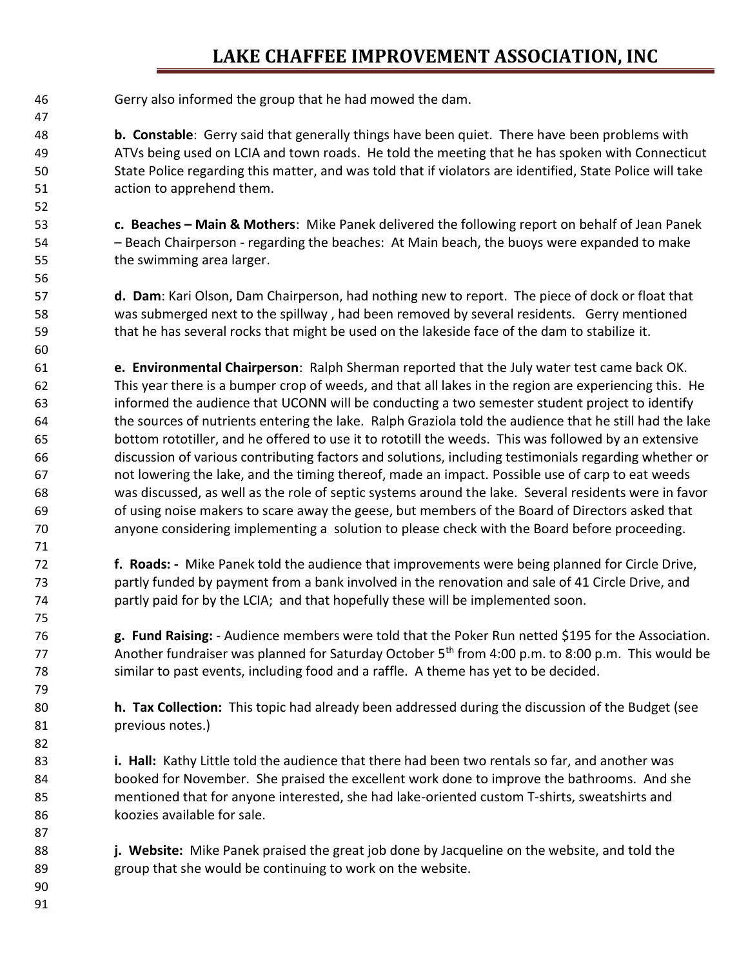## **LAKE CHAFFEE IMPROVEMENT ASSOCIATION, INC**

Gerry also informed the group that he had mowed the dam.

 **b. Constable**: Gerry said that generally things have been quiet. There have been problems with ATVs being used on LCIA and town roads. He told the meeting that he has spoken with Connecticut State Police regarding this matter, and was told that if violators are identified, State Police will take action to apprehend them.

 **c. Beaches – Main & Mothers**: Mike Panek delivered the following report on behalf of Jean Panek – Beach Chairperson - regarding the beaches: At Main beach, the buoys were expanded to make the swimming area larger.

 **d. Dam**: Kari Olson, Dam Chairperson, had nothing new to report. The piece of dock or float that was submerged next to the spillway , had been removed by several residents. Gerry mentioned that he has several rocks that might be used on the lakeside face of the dam to stabilize it.

 **e. Environmental Chairperson**: Ralph Sherman reported that the July water test came back OK. This year there is a bumper crop of weeds, and that all lakes in the region are experiencing this. He informed the audience that UCONN will be conducting a two semester student project to identify the sources of nutrients entering the lake. Ralph Graziola told the audience that he still had the lake bottom rototiller, and he offered to use it to rototill the weeds. This was followed by an extensive discussion of various contributing factors and solutions, including testimonials regarding whether or not lowering the lake, and the timing thereof, made an impact. Possible use of carp to eat weeds was discussed, as well as the role of septic systems around the lake. Several residents were in favor of using noise makers to scare away the geese, but members of the Board of Directors asked that anyone considering implementing a solution to please check with the Board before proceeding.

 **f. Roads: -** Mike Panek told the audience that improvements were being planned for Circle Drive, partly funded by payment from a bank involved in the renovation and sale of 41 Circle Drive, and partly paid for by the LCIA; and that hopefully these will be implemented soon.

 **g. Fund Raising:** - Audience members were told that the Poker Run netted \$195 for the Association. Another fundraiser was planned for Saturday October  $5<sup>th</sup>$  from 4:00 p.m. to 8:00 p.m. This would be similar to past events, including food and a raffle. A theme has yet to be decided.

 **h. Tax Collection:** This topic had already been addressed during the discussion of the Budget (see previous notes.)

 **i. Hall:** Kathy Little told the audience that there had been two rentals so far, and another was booked for November. She praised the excellent work done to improve the bathrooms. And she mentioned that for anyone interested, she had lake-oriented custom T-shirts, sweatshirts and koozies available for sale.

 **j. Website:** Mike Panek praised the great job done by Jacqueline on the website, and told the group that she would be continuing to work on the website.